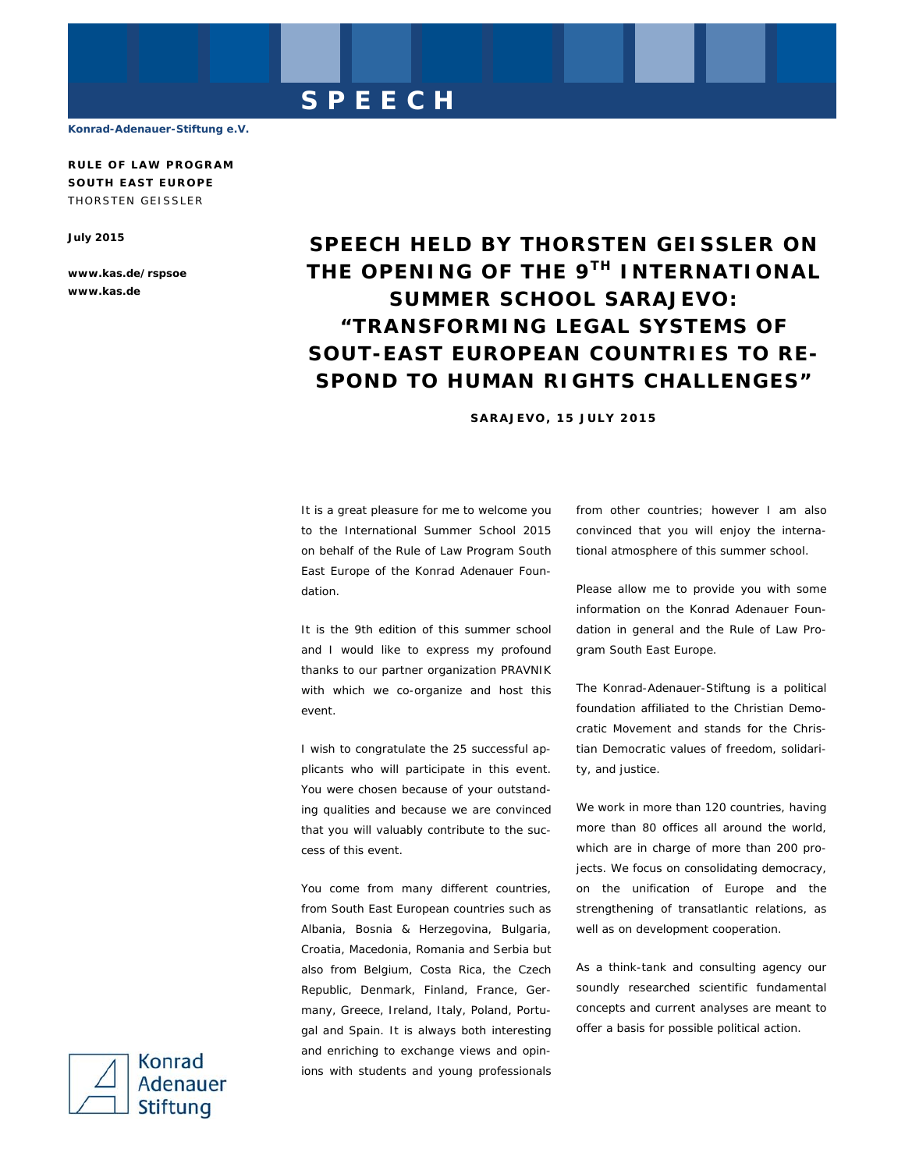# **SPEECH**

**Konrad-Adenauer-Stiftung e.V.** 

**RULE OF LAW PROGRAM SOUTH EAST EUROPE**  THORSTEN GEISSLER

**July 2015** 

**www.kas.de/rspsoe www.kas.de** 

# **SPEECH HELD BY THORSTEN GEISSLER ON THE OPENING OF THE 9TH INTERNATIONAL SUMMER SCHOOL SARAJEVO: "TRANSFORMING LEGAL SYSTEMS OF SOUT-EAST EUROPEAN COUNTRIES TO RE-SPOND TO HUMAN RIGHTS CHALLENGES"**

## **SARAJEVO, 15 JULY 2015**

It is a great pleasure for me to welcome you to the International Summer School 2015 on behalf of the Rule of Law Program South East Europe of the Konrad Adenauer Foundation.

It is the 9th edition of this summer school and I would like to express my profound thanks to our partner organization PRAVNIK with which we co-organize and host this event.

I wish to congratulate the 25 successful applicants who will participate in this event. You were chosen because of your outstanding qualities and because we are convinced that you will valuably contribute to the success of this event.

You come from many different countries, from South East European countries such as Albania, Bosnia & Herzegovina, Bulgaria, Croatia, Macedonia, Romania and Serbia but also from Belgium, Costa Rica, the Czech Republic, Denmark, Finland, France, Germany, Greece, Ireland, Italy, Poland, Portugal and Spain. It is always both interesting and enriching to exchange views and opinions with students and young professionals

from other countries; however I am also convinced that you will enjoy the international atmosphere of this summer school.

Please allow me to provide you with some information on the Konrad Adenauer Foundation in general and the Rule of Law Program South East Europe.

The Konrad-Adenauer-Stiftung is a political foundation affiliated to the Christian Democratic Movement and stands for the Christian Democratic values of freedom, solidarity, and justice.

We work in more than 120 countries, having more than 80 offices all around the world, which are in charge of more than 200 projects. We focus on consolidating democracy, on the unification of Europe and the strengthening of transatlantic relations, as well as on development cooperation.

As a think-tank and consulting agency our soundly researched scientific fundamental concepts and current analyses are meant to offer a basis for possible political action.

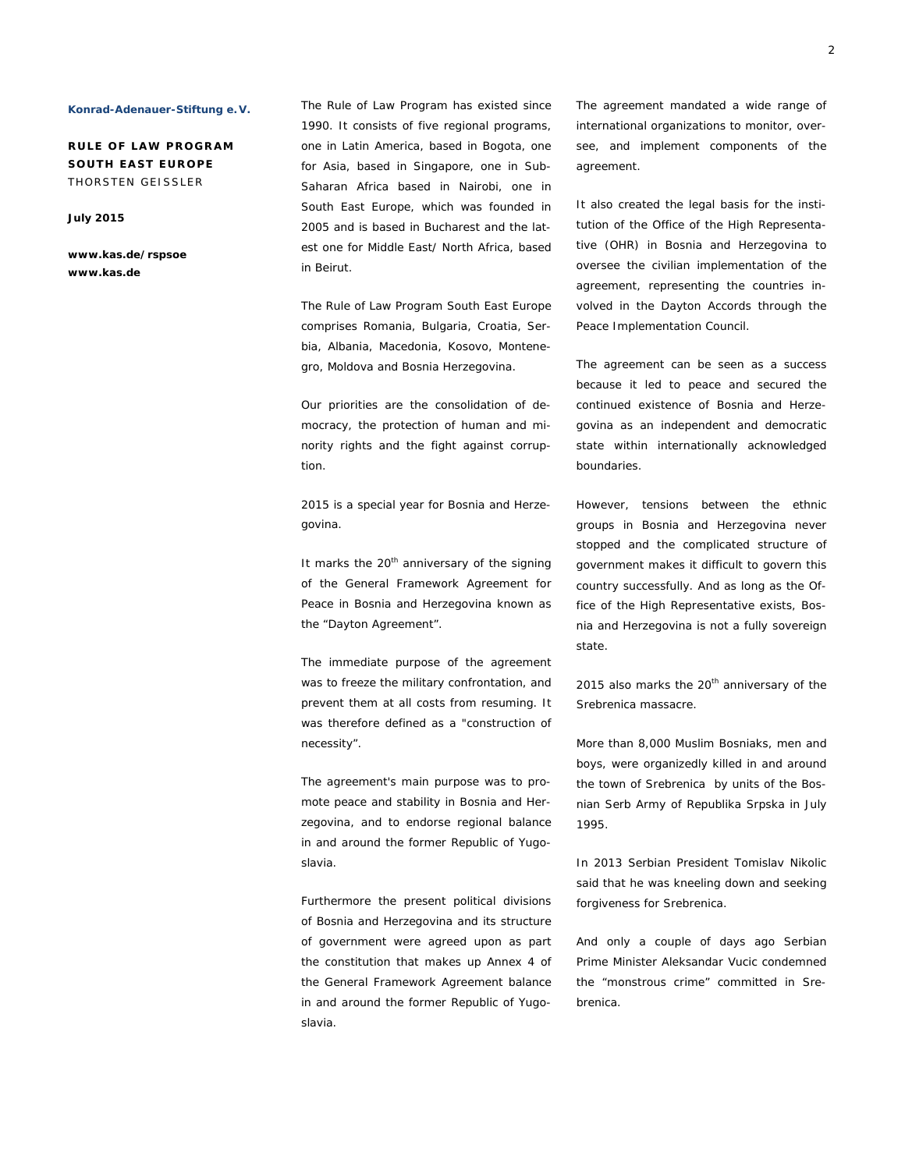### **Konrad-Adenauer-Stiftung e. V.**

**RULE OF LAW PROGRAM SOUTH EAST EUROPE**  THORSTEN GEISSLER

**July 2015** 

**www.kas.de/rspsoe www.kas.de**

The Rule of Law Program has existed since 1990. It consists of five regional programs, one in Latin America, based in Bogota, one for Asia, based in Singapore, one in Sub-Saharan Africa based in Nairobi, one in South East Europe, which was founded in 2005 and is based in Bucharest and the latest one for Middle East/ North Africa, based in Beirut.

The Rule of Law Program South East Europe comprises Romania, Bulgaria, Croatia, Serbia, Albania, Macedonia, Kosovo, Montenegro, Moldova and Bosnia Herzegovina.

Our priorities are the consolidation of democracy, the protection of human and minority rights and the fight against corruption.

2015 is a special year for Bosnia and Herzegovina.

It marks the  $20<sup>th</sup>$  anniversary of the signing of the General Framework Agreement for Peace in Bosnia and Herzegovina known as the "Dayton Agreement".

The immediate purpose of the agreement was to freeze the military confrontation, and prevent them at all costs from resuming. It was therefore defined as a "construction of necessity".

The agreement's main purpose was to promote peace and stability in Bosnia and Herzegovina, and to endorse regional balance in and around the former Republic of Yugoslavia.

Furthermore the present political divisions of Bosnia and Herzegovina and its structure of government were agreed upon as part the constitution that makes up Annex 4 of the General Framework Agreement balance in and around the former Republic of Yugoslavia.

The agreement mandated a wide range of international organizations to monitor, oversee, and implement components of the agreement.

It also created the legal basis for the institution of the *Office of the High Representative (OHR) in Bosnia and Herzegovina* to oversee the civilian implementation of the agreement, representing the countries involved in the Dayton Accords through the Peace Implementation Council.

The agreement can be seen as a success because it led to peace and secured the continued existence of Bosnia and Herzegovina as an independent and democratic state within internationally acknowledged boundaries.

However, tensions between the ethnic groups in Bosnia and Herzegovina never stopped and the complicated structure of government makes it difficult to govern this country successfully. And as long as the Office of the High Representative exists, Bosnia and Herzegovina is not a fully sovereign state.

2015 also marks the 20<sup>th</sup> anniversary of the Srebrenica massacre.

More than 8,000 Muslim Bosniaks, men and boys, were organizedly killed in and around the town of Srebrenica by units of the Bosnian Serb Army of Republika Srpska in July 1995.

In 2013 Serbian President Tomislav Nikolic said that he was kneeling down and seeking forgiveness for Srebrenica.

And only a couple of days ago Serbian Prime Minister Aleksandar Vucic condemned the "monstrous crime" committed in Srebrenica.